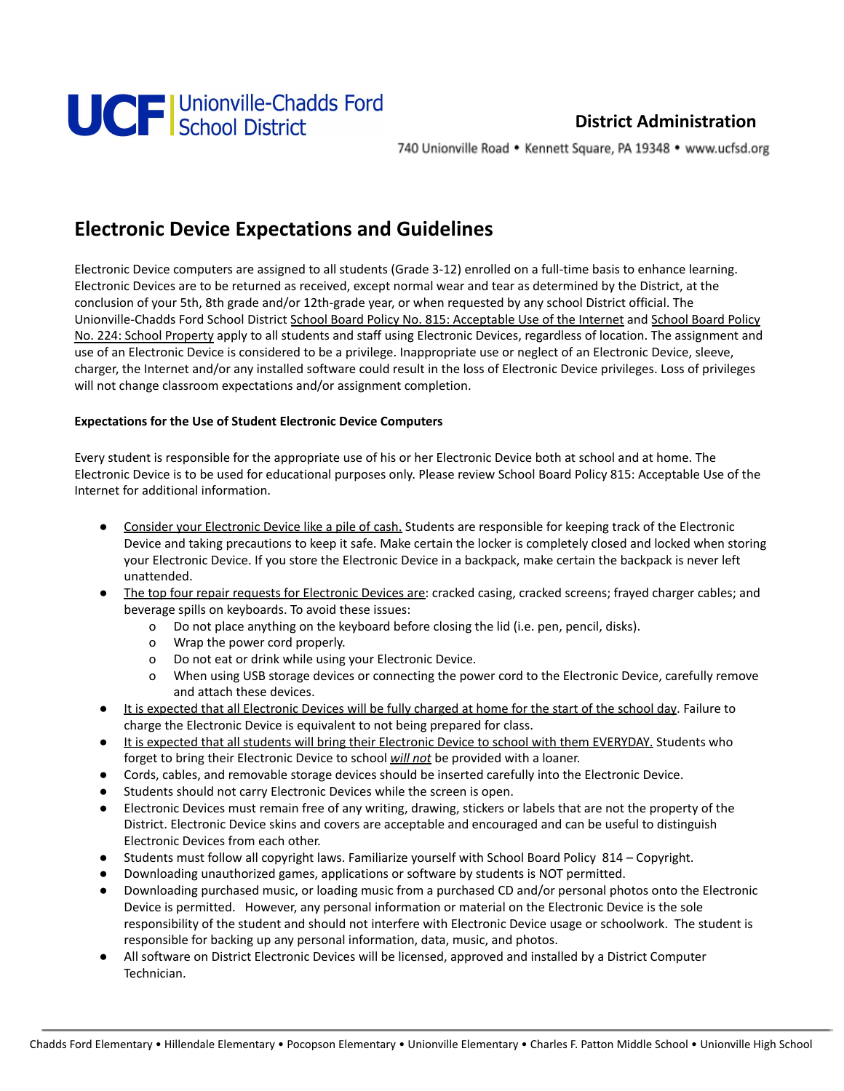

## **District Administration**

740 Unionville Road • Kennett Square, PA 19348 • www.ucfsd.org

## **Electronic Device Expectations and Guidelines**

Electronic Device computers are assigned to all students (Grade 3-12) enrolled on a full-time basis to enhance learning. Electronic Devices are to be returned as received, except normal wear and tear as determined by the District, at the conclusion of your 5th, 8th grade and/or 12th-grade year, or when requested by any school District official. The Unionville-Chadds Ford School District School Board Policy No. 815: Acceptable Use of the Internet and School Board Policy No. 224: School Property apply to all students and staff using Electronic Devices, regardless of location. The assignment and use of an Electronic Device is considered to be a privilege. Inappropriate use or neglect of an Electronic Device, sleeve, charger, the Internet and/or any installed software could result in the loss of Electronic Device privileges. Loss of privileges will not change classroom expectations and/or assignment completion.

#### **Expectations for the Use of Student Electronic Device Computers**

Every student is responsible for the appropriate use of his or her Electronic Device both at school and at home. The Electronic Device is to be used for educational purposes only. Please review School Board Policy 815: Acceptable Use of the Internet for additional information.

- Consider your Electronic Device like a pile of cash. Students are responsible for keeping track of the Electronic Device and taking precautions to keep it safe. Make certain the locker is completely closed and locked when storing your Electronic Device. If you store the Electronic Device in a backpack, make certain the backpack is never left unattended.
- The top four repair requests for Electronic Devices are: cracked casing, cracked screens; frayed charger cables; and beverage spills on keyboards. To avoid these issues:
	- o Do not place anything on the keyboard before closing the lid (i.e. pen, pencil, disks).
	- o Wrap the power cord properly.
	- o Do not eat or drink while using your Electronic Device.
	- o When using USB storage devices or connecting the power cord to the Electronic Device, carefully remove and attach these devices.
- It is expected that all Electronic Devices will be fully charged at home for the start of the school day. Failure to charge the Electronic Device is equivalent to not being prepared for class.
- It is expected that all students will bring their Electronic Device to school with them EVERYDAY. Students who forget to bring their Electronic Device to school *will not* be provided with a loaner.
- Cords, cables, and removable storage devices should be inserted carefully into the Electronic Device.
- Students should not carry Electronic Devices while the screen is open.
- Electronic Devices must remain free of any writing, drawing, stickers or labels that are not the property of the District. Electronic Device skins and covers are acceptable and encouraged and can be useful to distinguish Electronic Devices from each other.
- Students must follow all copyright laws. Familiarize yourself with School Board Policy 814 Copyright.
- Downloading unauthorized games, applications or software by students is NOT permitted.
- Downloading purchased music, or loading music from a purchased CD and/or personal photos onto the Electronic Device is permitted. However, any personal information or material on the Electronic Device is the sole responsibility of the student and should not interfere with Electronic Device usage or schoolwork. The student is responsible for backing up any personal information, data, music, and photos.
- All software on District Electronic Devices will be licensed, approved and installed by a District Computer Technician.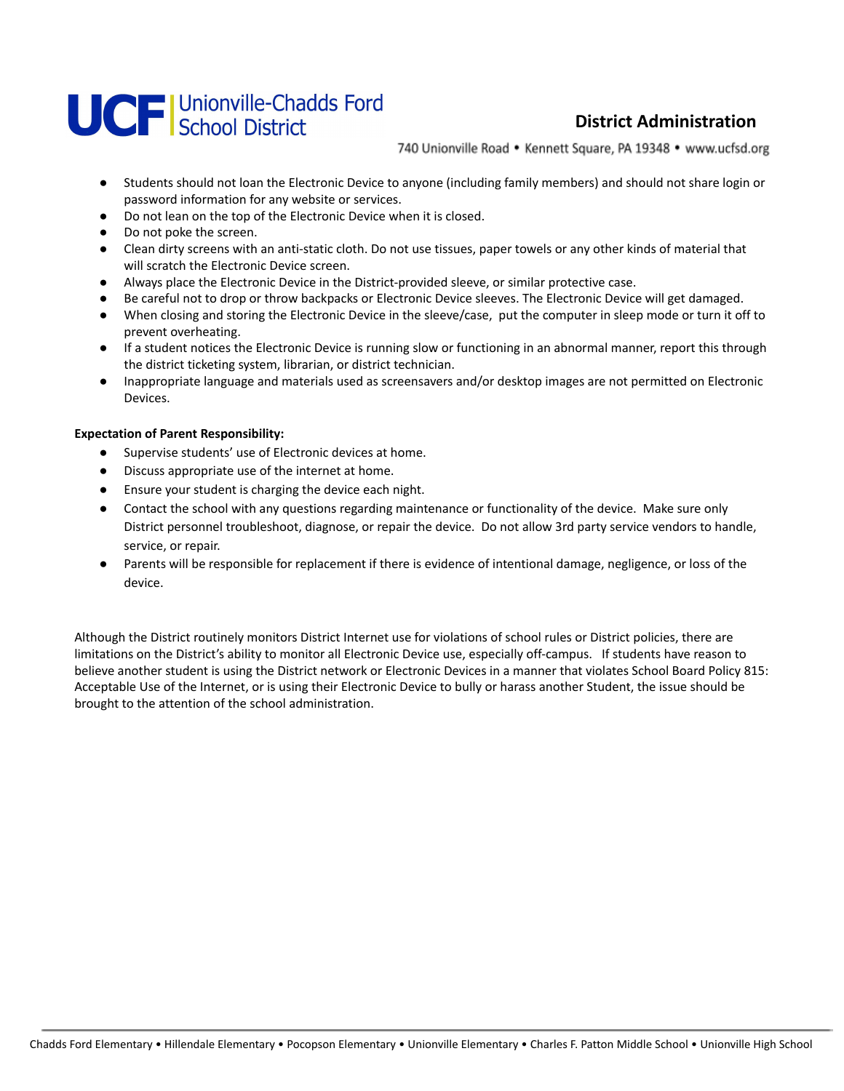# **UCF** Unionville-Chadds Ford

## **District Administration**

740 Unionville Road • Kennett Square, PA 19348 • www.ucfsd.org

- Students should not loan the Electronic Device to anyone (including family members) and should not share login or password information for any website or services.
- Do not lean on the top of the Electronic Device when it is closed.
- Do not poke the screen.
- Clean dirty screens with an anti-static cloth. Do not use tissues, paper towels or any other kinds of material that will scratch the Electronic Device screen.
- Always place the Electronic Device in the District-provided sleeve, or similar protective case.
- Be careful not to drop or throw backpacks or Electronic Device sleeves. The Electronic Device will get damaged.
- When closing and storing the Electronic Device in the sleeve/case, put the computer in sleep mode or turn it off to prevent overheating.
- If a student notices the Electronic Device is running slow or functioning in an abnormal manner, report this through the district ticketing system, librarian, or district technician.
- Inappropriate language and materials used as screensavers and/or desktop images are not permitted on Electronic Devices.

#### **Expectation of Parent Responsibility:**

- Supervise students' use of Electronic devices at home.
- Discuss appropriate use of the internet at home.
- Ensure your student is charging the device each night.
- Contact the school with any questions regarding maintenance or functionality of the device. Make sure only District personnel troubleshoot, diagnose, or repair the device. Do not allow 3rd party service vendors to handle, service, or repair.
- Parents will be responsible for replacement if there is evidence of intentional damage, negligence, or loss of the device.

Although the District routinely monitors District Internet use for violations of school rules or District policies, there are limitations on the District's ability to monitor all Electronic Device use, especially off-campus. If students have reason to believe another student is using the District network or Electronic Devices in a manner that violates School Board Policy 815: Acceptable Use of the Internet, or is using their Electronic Device to bully or harass another Student, the issue should be brought to the attention of the school administration.